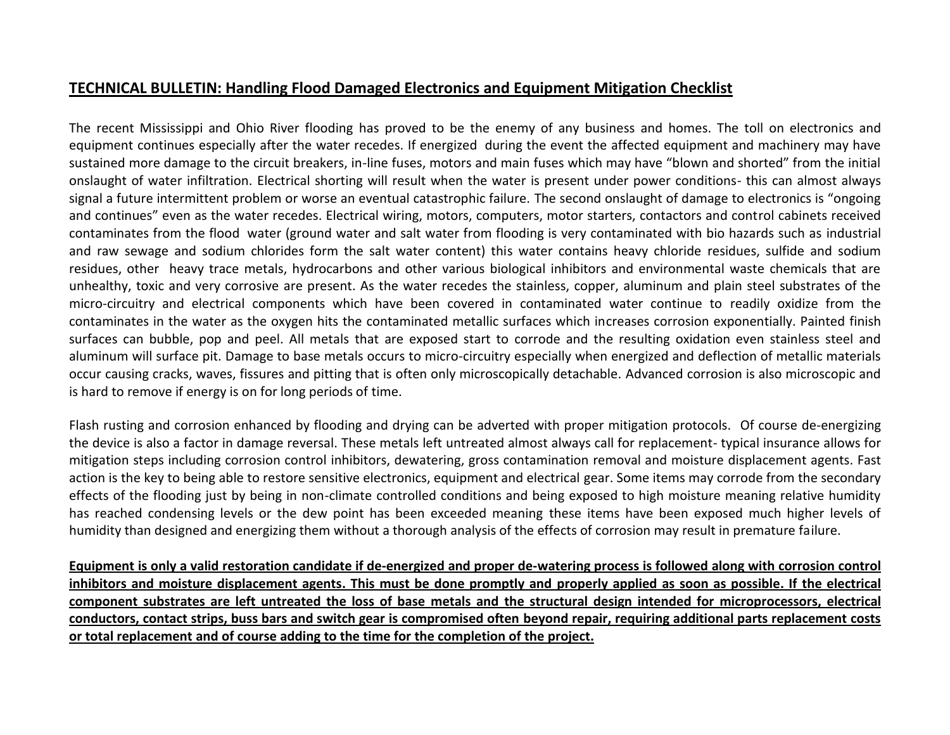## **TECHNICAL BULLETIN: Handling Flood Damaged Electronics and Equipment Mitigation Checklist**

The recent Mississippi and Ohio River flooding has proved to be the enemy of any business and homes. The toll on electronics and equipment continues especially after the water recedes. If energized during the event the affected equipment and machinery may have sustained more damage to the circuit breakers, in-line fuses, motors and main fuses which may have "blown and shorted" from the initial onslaught of water infiltration. Electrical shorting will result when the water is present under power conditions- this can almost always signal a future intermittent problem or worse an eventual catastrophic failure. The second onslaught of damage to electronics is "ongoing and continues" even as the water recedes. Electrical wiring, motors, computers, motor starters, contactors and control cabinets received contaminates from the flood water (ground water and salt water from flooding is very contaminated with bio hazards such as industrial and raw sewage and sodium chlorides form the salt water content) this water contains heavy chloride residues, sulfide and sodium residues, other heavy trace metals, hydrocarbons and other various biological inhibitors and environmental waste chemicals that are unhealthy, toxic and very corrosive are present. As the water recedes the stainless, copper, aluminum and plain steel substrates of the micro-circuitry and electrical components which have been covered in contaminated water continue to readily oxidize from the contaminates in the water as the oxygen hits the contaminated metallic surfaces which increases corrosion exponentially. Painted finish surfaces can bubble, pop and peel. All metals that are exposed start to corrode and the resulting oxidation even stainless steel and aluminum will surface pit. Damage to base metals occurs to micro-circuitry especially when energized and deflection of metallic materials occur causing cracks, waves, fissures and pitting that is often only microscopically detachable. Advanced corrosion is also microscopic and is hard to remove if energy is on for long periods of time.

Flash rusting and corrosion enhanced by flooding and drying can be adverted with proper mitigation protocols. Of course de-energizing the device is also a factor in damage reversal. These metals left untreated almost always call for replacement- typical insurance allows for mitigation steps including corrosion control inhibitors, dewatering, gross contamination removal and moisture displacement agents. Fast action is the key to being able to restore sensitive electronics, equipment and electrical gear. Some items may corrode from the secondary effects of the flooding just by being in non-climate controlled conditions and being exposed to high moisture meaning relative humidity has reached condensing levels or the dew point has been exceeded meaning these items have been exposed much higher levels of humidity than designed and energizing them without a thorough analysis of the effects of corrosion may result in premature failure.

**Equipment is only a valid restoration candidate if de-energized and proper de-watering process is followed along with corrosion control inhibitors and moisture displacement agents. This must be done promptly and properly applied as soon as possible. If the electrical component substrates are left untreated the loss of base metals and the structural design intended for microprocessors, electrical conductors, contact strips, buss bars and switch gear is compromised often beyond repair, requiring additional parts replacement costs or total replacement and of course adding to the time for the completion of the project.**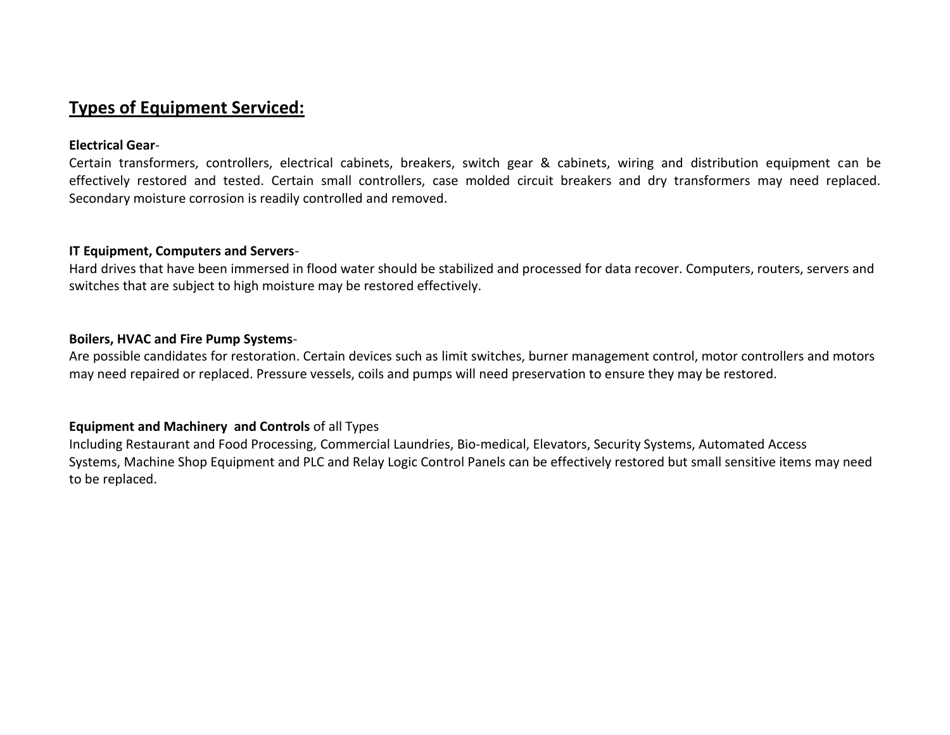## **Types of Equipment Serviced:**

## **Electrical Gear**-

Certain transformers, controllers, electrical cabinets, breakers, switch gear & cabinets, wiring and distribution equipment can be effectively restored and tested. Certain small controllers, case molded circuit breakers and dry transformers may need replaced. Secondary moisture corrosion is readily controlled and removed.

#### **IT Equipment, Computers and Servers**-

Hard drives that have been immersed in flood water should be stabilized and processed for data recover. Computers, routers, servers and switches that are subject to high moisture may be restored effectively.

## **Boilers, HVAC and Fire Pump Systems**-

Are possible candidates for restoration. Certain devices such as limit switches, burner management control, motor controllers and motors may need repaired or replaced. Pressure vessels, coils and pumps will need preservation to ensure they may be restored.

## **Equipment and Machinery and Controls** of all Types

Including Restaurant and Food Processing, Commercial Laundries, Bio-medical, Elevators, Security Systems, Automated Access Systems, Machine Shop Equipment and PLC and Relay Logic Control Panels can be effectively restored but small sensitive items may need to be replaced.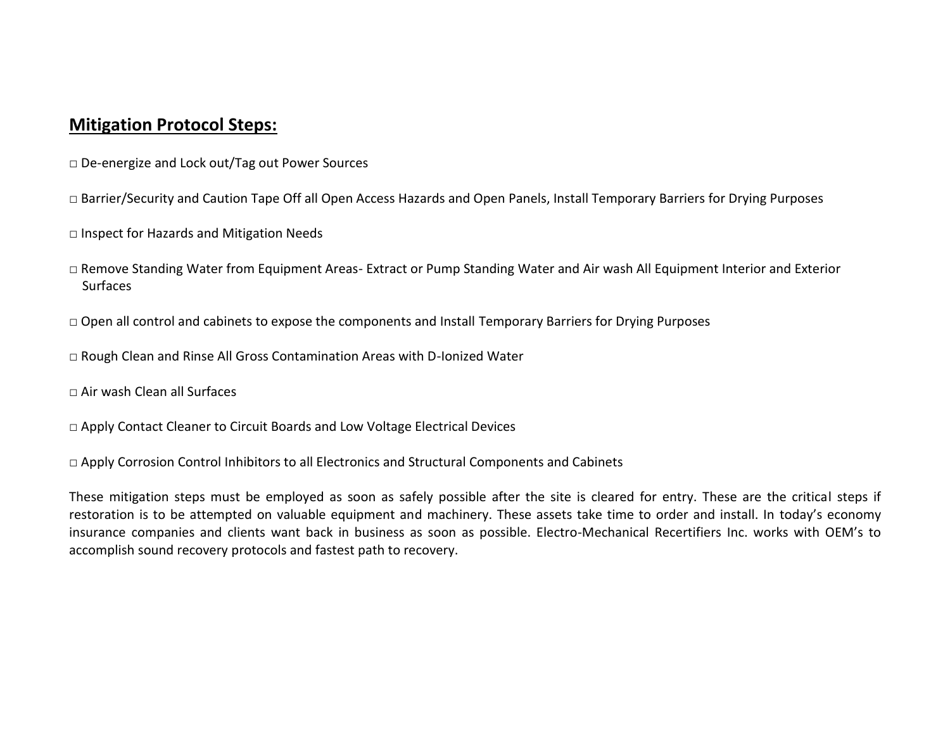## **Mitigation Protocol Steps:**

- □ De-energize and Lock out/Tag out Power Sources
- □ Barrier/Security and Caution Tape Off all Open Access Hazards and Open Panels, Install Temporary Barriers for Drying Purposes
- □ Inspect for Hazards and Mitigation Needs
- □ Remove Standing Water from Equipment Areas- Extract or Pump Standing Water and Air wash All Equipment Interior and Exterior **Surfaces**
- $\Box$  Open all control and cabinets to expose the components and Install Temporary Barriers for Drying Purposes
- $\Box$  Rough Clean and Rinse All Gross Contamination Areas with D-Ionized Water
- □ Air wash Clean all Surfaces
- □ Apply Contact Cleaner to Circuit Boards and Low Voltage Electrical Devices
- □ Apply Corrosion Control Inhibitors to all Electronics and Structural Components and Cabinets

These mitigation steps must be employed as soon as safely possible after the site is cleared for entry. These are the critical steps if restoration is to be attempted on valuable equipment and machinery. These assets take time to order and install. In today's economy insurance companies and clients want back in business as soon as possible. Electro-Mechanical Recertifiers Inc. works with OEM's to accomplish sound recovery protocols and fastest path to recovery.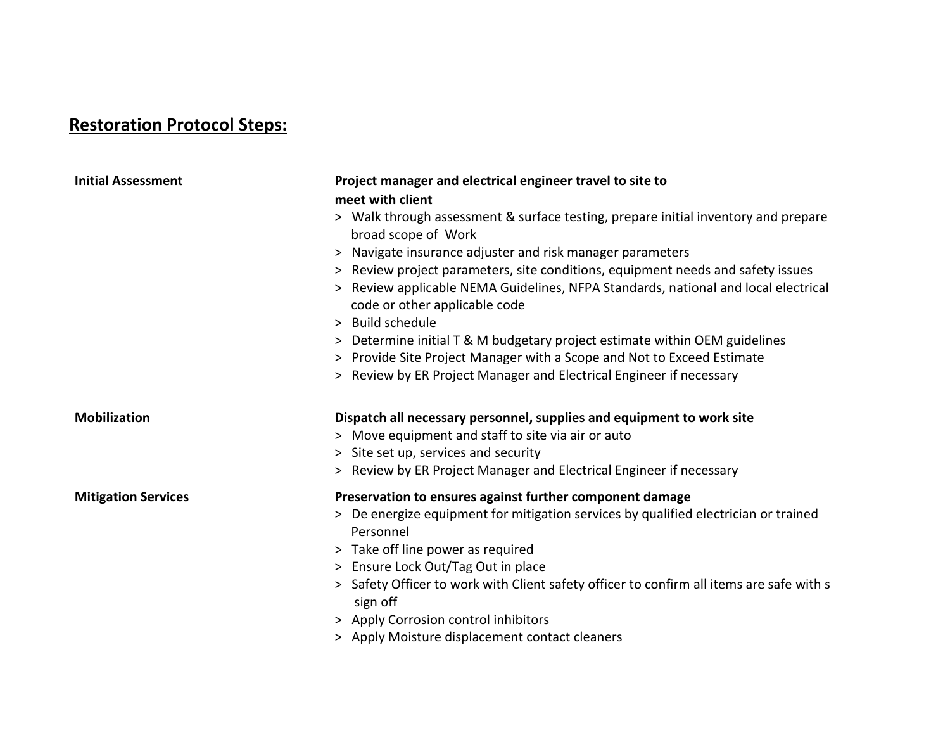# **Restoration Protocol Steps:**

| <b>Initial Assessment</b>  | Project manager and electrical engineer travel to site to<br>meet with client                                       |  |
|----------------------------|---------------------------------------------------------------------------------------------------------------------|--|
|                            | > Walk through assessment & surface testing, prepare initial inventory and prepare<br>broad scope of Work           |  |
|                            | > Navigate insurance adjuster and risk manager parameters                                                           |  |
|                            | > Review project parameters, site conditions, equipment needs and safety issues                                     |  |
|                            | > Review applicable NEMA Guidelines, NFPA Standards, national and local electrical<br>code or other applicable code |  |
|                            | > Build schedule                                                                                                    |  |
|                            | > Determine initial T & M budgetary project estimate within OEM guidelines                                          |  |
|                            | > Provide Site Project Manager with a Scope and Not to Exceed Estimate                                              |  |
|                            | > Review by ER Project Manager and Electrical Engineer if necessary                                                 |  |
| <b>Mobilization</b>        | Dispatch all necessary personnel, supplies and equipment to work site                                               |  |
|                            | > Move equipment and staff to site via air or auto<br>> Site set up, services and security                          |  |
|                            |                                                                                                                     |  |
|                            | > Review by ER Project Manager and Electrical Engineer if necessary                                                 |  |
| <b>Mitigation Services</b> | Preservation to ensures against further component damage                                                            |  |
|                            | > De energize equipment for mitigation services by qualified electrician or trained<br>Personnel                    |  |
|                            | > Take off line power as required                                                                                   |  |
|                            | > Ensure Lock Out/Tag Out in place                                                                                  |  |
|                            | > Safety Officer to work with Client safety officer to confirm all items are safe with s<br>sign off                |  |
|                            | > Apply Corrosion control inhibitors                                                                                |  |
|                            | > Apply Moisture displacement contact cleaners                                                                      |  |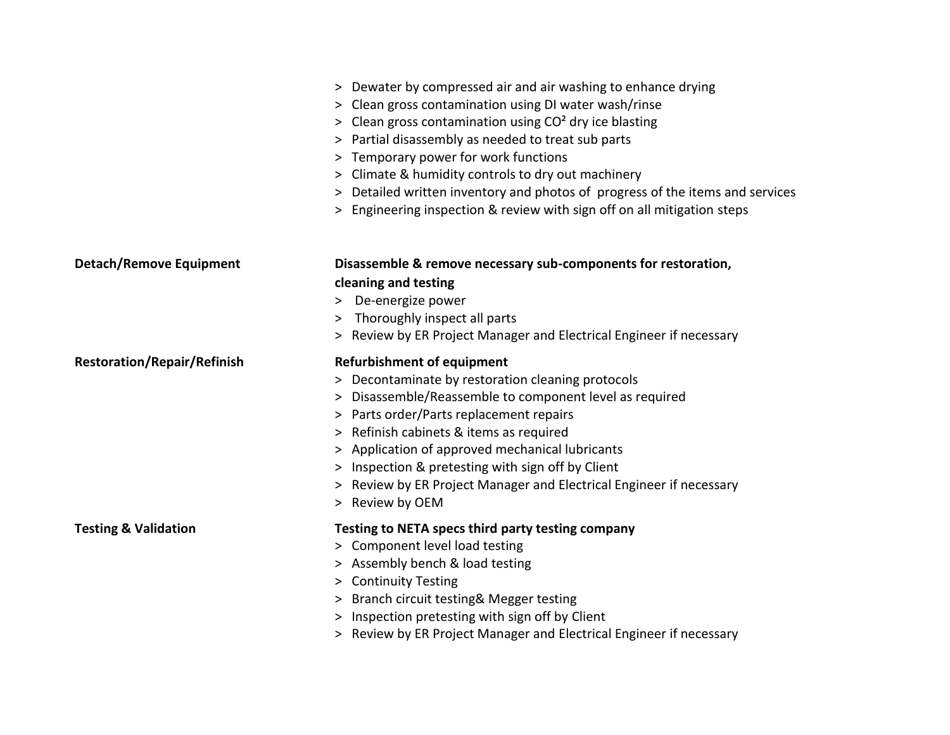|                                    | > Dewater by compressed air and air washing to enhance drying<br>> Clean gross contamination using DI water wash/rinse<br>> Clean gross contamination using CO <sup>2</sup> dry ice blasting<br>> Partial disassembly as needed to treat sub parts<br>> Temporary power for work functions<br>> Climate & humidity controls to dry out machinery<br>> Detailed written inventory and photos of progress of the items and services<br>> Engineering inspection & review with sign off on all mitigation steps |
|------------------------------------|--------------------------------------------------------------------------------------------------------------------------------------------------------------------------------------------------------------------------------------------------------------------------------------------------------------------------------------------------------------------------------------------------------------------------------------------------------------------------------------------------------------|
| <b>Detach/Remove Equipment</b>     | Disassemble & remove necessary sub-components for restoration,                                                                                                                                                                                                                                                                                                                                                                                                                                               |
|                                    | cleaning and testing                                                                                                                                                                                                                                                                                                                                                                                                                                                                                         |
|                                    | > De-energize power                                                                                                                                                                                                                                                                                                                                                                                                                                                                                          |
|                                    | > Thoroughly inspect all parts                                                                                                                                                                                                                                                                                                                                                                                                                                                                               |
|                                    | > Review by ER Project Manager and Electrical Engineer if necessary                                                                                                                                                                                                                                                                                                                                                                                                                                          |
| <b>Restoration/Repair/Refinish</b> | <b>Refurbishment of equipment</b>                                                                                                                                                                                                                                                                                                                                                                                                                                                                            |
|                                    | > Decontaminate by restoration cleaning protocols                                                                                                                                                                                                                                                                                                                                                                                                                                                            |
|                                    | > Disassemble/Reassemble to component level as required                                                                                                                                                                                                                                                                                                                                                                                                                                                      |
|                                    | > Parts order/Parts replacement repairs                                                                                                                                                                                                                                                                                                                                                                                                                                                                      |
|                                    | > Refinish cabinets & items as required                                                                                                                                                                                                                                                                                                                                                                                                                                                                      |
|                                    | > Application of approved mechanical lubricants                                                                                                                                                                                                                                                                                                                                                                                                                                                              |
|                                    | > Inspection & pretesting with sign off by Client                                                                                                                                                                                                                                                                                                                                                                                                                                                            |
|                                    | > Review by ER Project Manager and Electrical Engineer if necessary                                                                                                                                                                                                                                                                                                                                                                                                                                          |
|                                    | > Review by OEM                                                                                                                                                                                                                                                                                                                                                                                                                                                                                              |
| <b>Testing &amp; Validation</b>    | Testing to NETA specs third party testing company                                                                                                                                                                                                                                                                                                                                                                                                                                                            |
|                                    | > Component level load testing                                                                                                                                                                                                                                                                                                                                                                                                                                                                               |
|                                    | > Assembly bench & load testing                                                                                                                                                                                                                                                                                                                                                                                                                                                                              |
|                                    | > Continuity Testing                                                                                                                                                                                                                                                                                                                                                                                                                                                                                         |
|                                    | > Branch circuit testing& Megger testing                                                                                                                                                                                                                                                                                                                                                                                                                                                                     |
|                                    | > Inspection pretesting with sign off by Client                                                                                                                                                                                                                                                                                                                                                                                                                                                              |
|                                    | > Review by ER Project Manager and Electrical Engineer if necessary                                                                                                                                                                                                                                                                                                                                                                                                                                          |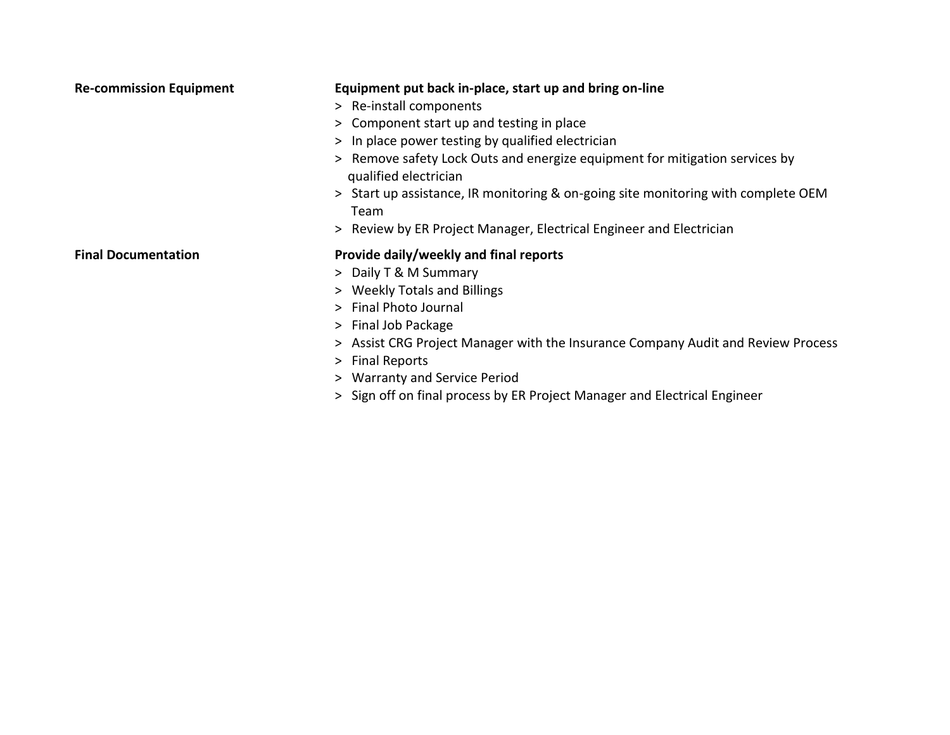| <b>Re-commission Equipment</b> | Equipment put back in-place, start up and bring on-line<br>> Re-install components<br>> Component start up and testing in place<br>> In place power testing by qualified electrician<br>> Remove safety Lock Outs and energize equipment for mitigation services by<br>qualified electrician<br>> Start up assistance, IR monitoring & on-going site monitoring with complete OEM<br>Team<br>> Review by ER Project Manager, Electrical Engineer and Electrician |
|--------------------------------|------------------------------------------------------------------------------------------------------------------------------------------------------------------------------------------------------------------------------------------------------------------------------------------------------------------------------------------------------------------------------------------------------------------------------------------------------------------|
| <b>Final Documentation</b>     | Provide daily/weekly and final reports<br>> Daily T & M Summary<br>> Weekly Totals and Billings<br>> Final Photo Journal<br>> Final Job Package                                                                                                                                                                                                                                                                                                                  |

- > Assist CRG Project Manager with the Insurance Company Audit and Review Process
- > Final Reports
- > Warranty and Service Period
- > Sign off on final process by ER Project Manager and Electrical Engineer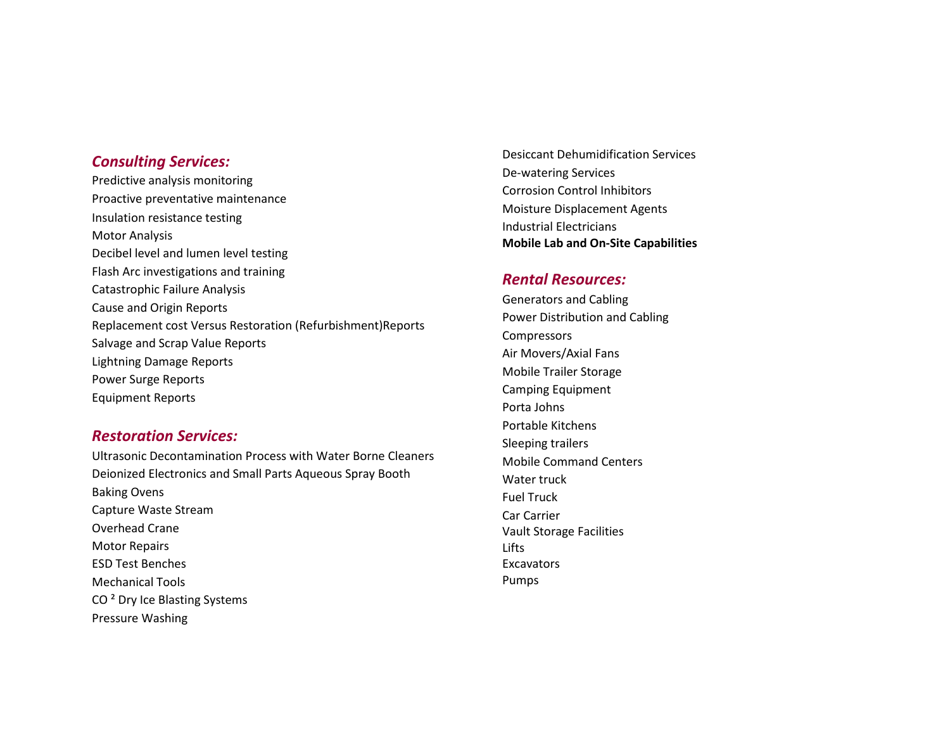## *Consulting Services:*

Predictive analysis monitoring Proactive preventative maintenance Insulation resistance testing Motor Analysis Decibel level and lumen level testing Flash Arc investigations and training Catastrophic Failure Analysis Cause and Origin Reports Replacement cost Versus Restoration (Refurbishment)Reports Salvage and Scrap Value Reports Lightning Damage Reports Power Surge Reports Equipment Reports

## *Restoration Services:*

Ultrasonic Decontamination Process with Water Borne Cleaners Deionized Electronics and Small Parts Aqueous Spray Booth Baking Ovens Capture Waste Stream Overhead Crane Motor Repairs ESD Test Benches Mechanical Tools CO ² Dry Ice Blasting Systems Pressure Washing

Desiccant Dehumidification Services De-watering Services Corrosion Control Inhibitors Moisture Displacement Agents Industrial Electricians **Mobile Lab and On-Site Capabilities** 

## *Rental Resources:*

Generators and Cabling Power Distribution and Cabling **Compressors** Air Movers/Axial Fans Mobile Trailer Storage Camping Equipment Porta Johns Portable Kitchens Sleeping trailers Mobile Command Centers Water truck Fuel Truck Car Carrier Vault Storage Facilities Lifts Excavators Pumps